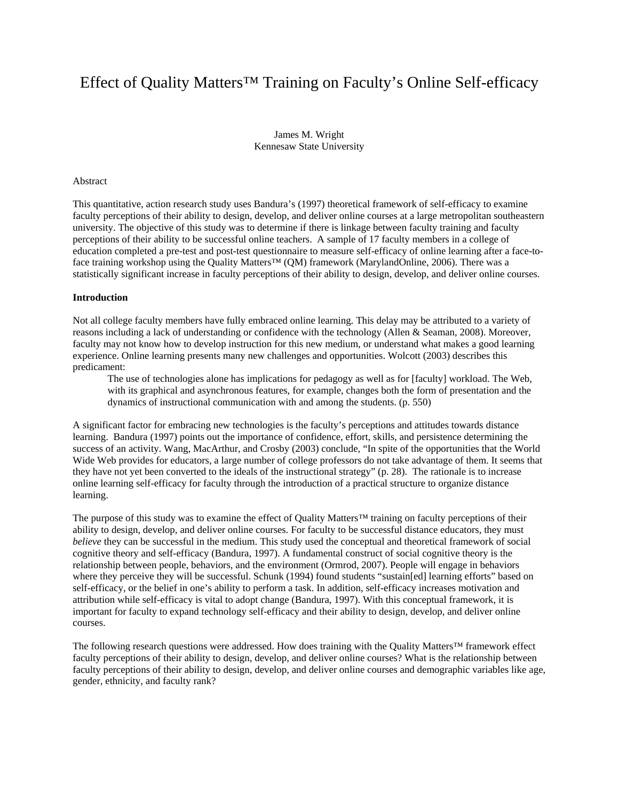# Effect of Quality Matters™ Training on Faculty's Online Self-efficacy

James M. Wright Kennesaw State University

#### Abstract

This quantitative, action research study uses Bandura's (1997) theoretical framework of self-efficacy to examine faculty perceptions of their ability to design, develop, and deliver online courses at a large metropolitan southeastern university. The objective of this study was to determine if there is linkage between faculty training and faculty perceptions of their ability to be successful online teachers. A sample of 17 faculty members in a college of education completed a pre-test and post-test questionnaire to measure self-efficacy of online learning after a face-toface training workshop using the Quality Matters™ (QM) framework (MarylandOnline, 2006). There was a statistically significant increase in faculty perceptions of their ability to design, develop, and deliver online courses.

### **Introduction**

Not all college faculty members have fully embraced online learning. This delay may be attributed to a variety of reasons including a lack of understanding or confidence with the technology (Allen & Seaman, 2008). Moreover, faculty may not know how to develop instruction for this new medium, or understand what makes a good learning experience. Online learning presents many new challenges and opportunities. Wolcott (2003) describes this predicament:

The use of technologies alone has implications for pedagogy as well as for [faculty] workload. The Web, with its graphical and asynchronous features, for example, changes both the form of presentation and the dynamics of instructional communication with and among the students. (p. 550)

A significant factor for embracing new technologies is the faculty's perceptions and attitudes towards distance learning. Bandura (1997) points out the importance of confidence, effort, skills, and persistence determining the success of an activity. Wang, MacArthur, and Crosby (2003) conclude, "In spite of the opportunities that the World Wide Web provides for educators, a large number of college professors do not take advantage of them. It seems that they have not yet been converted to the ideals of the instructional strategy" (p. 28). The rationale is to increase online learning self-efficacy for faculty through the introduction of a practical structure to organize distance learning.

The purpose of this study was to examine the effect of Quality Matters™ training on faculty perceptions of their ability to design, develop, and deliver online courses. For faculty to be successful distance educators, they must *believe* they can be successful in the medium. This study used the conceptual and theoretical framework of social cognitive theory and self-efficacy (Bandura, 1997). A fundamental construct of social cognitive theory is the relationship between people, behaviors, and the environment (Ormrod, 2007). People will engage in behaviors where they perceive they will be successful. Schunk (1994) found students "sustain[ed] learning efforts" based on self-efficacy, or the belief in one's ability to perform a task. In addition, self-efficacy increases motivation and attribution while self-efficacy is vital to adopt change (Bandura, 1997). With this conceptual framework, it is important for faculty to expand technology self-efficacy and their ability to design, develop, and deliver online courses.

The following research questions were addressed. How does training with the Quality Matters™ framework effect faculty perceptions of their ability to design, develop, and deliver online courses? What is the relationship between faculty perceptions of their ability to design, develop, and deliver online courses and demographic variables like age, gender, ethnicity, and faculty rank?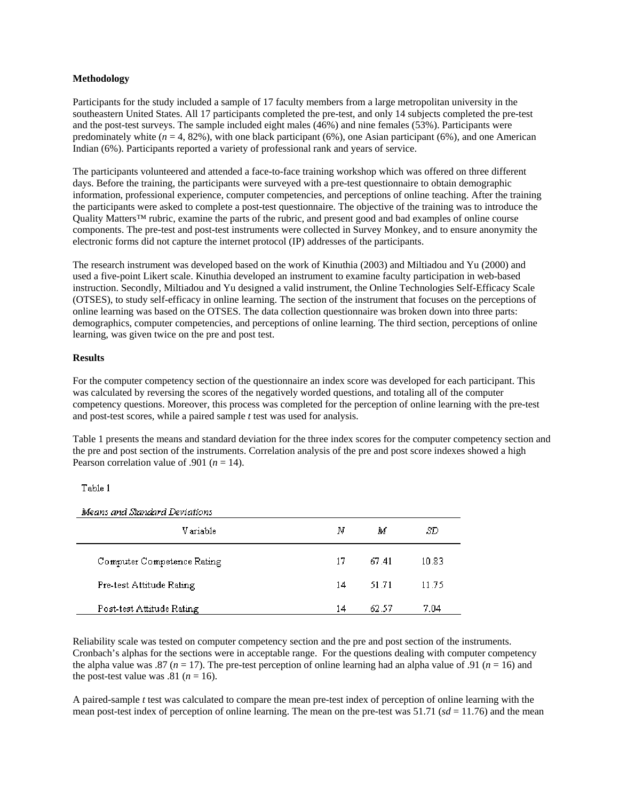# **Methodology**

Participants for the study included a sample of 17 faculty members from a large metropolitan university in the southeastern United States. All 17 participants completed the pre-test, and only 14 subjects completed the pre-test and the post-test surveys. The sample included eight males (46%) and nine females (53%). Participants were predominately white  $(n = 4, 82\%)$ , with one black participant (6%), one Asian participant (6%), and one American Indian (6%). Participants reported a variety of professional rank and years of service.

The participants volunteered and attended a face-to-face training workshop which was offered on three different days. Before the training, the participants were surveyed with a pre-test questionnaire to obtain demographic information, professional experience, computer competencies, and perceptions of online teaching. After the training the participants were asked to complete a post-test questionnaire. The objective of the training was to introduce the Quality Matters™ rubric, examine the parts of the rubric, and present good and bad examples of online course components. The pre-test and post-test instruments were collected in Survey Monkey, and to ensure anonymity the electronic forms did not capture the internet protocol (IP) addresses of the participants.

The research instrument was developed based on the work of Kinuthia (2003) and Miltiadou and Yu (2000) and used a five-point Likert scale. Kinuthia developed an instrument to examine faculty participation in web-based instruction. Secondly, Miltiadou and Yu designed a valid instrument, the Online Technologies Self-Efficacy Scale (OTSES), to study self-efficacy in online learning. The section of the instrument that focuses on the perceptions of online learning was based on the OTSES. The data collection questionnaire was broken down into three parts: demographics, computer competencies, and perceptions of online learning. The third section, perceptions of online learning, was given twice on the pre and post test.

# **Results**

For the computer competency section of the questionnaire an index score was developed for each participant. This was calculated by reversing the scores of the negatively worded questions, and totaling all of the computer competency questions. Moreover, this process was completed for the perception of online learning with the pre-test and post-test scores, while a paired sample *t* test was used for analysis.

Table 1 presents the means and standard deviation for the three index scores for the computer competency section and the pre and post section of the instruments. Correlation analysis of the pre and post score indexes showed a high Pearson correlation value of .901 ( $n = 14$ ).

# Table 1

Means and Standard Deviations

| V ariable                  | Ν  | M     | SD    |
|----------------------------|----|-------|-------|
| Computer Competence Rating | 17 | 67.41 | 10.83 |
| Pre-test Attitude Rating   | 14 | 51.71 | 11.75 |
| Post-test Attitude Rating  | 14 | 62.57 | 7.04  |

Reliability scale was tested on computer competency section and the pre and post section of the instruments. Cronbach's alphas for the sections were in acceptable range. For the questions dealing with computer competency the alpha value was .87 ( $n = 17$ ). The pre-test perception of online learning had an alpha value of .91 ( $n = 16$ ) and the post-test value was  $.81$  ( $n = 16$ ).

A paired-sample *t* test was calculated to compare the mean pre-test index of perception of online learning with the mean post-test index of perception of online learning. The mean on the pre-test was  $51.71$  ( $sd = 11.76$ ) and the mean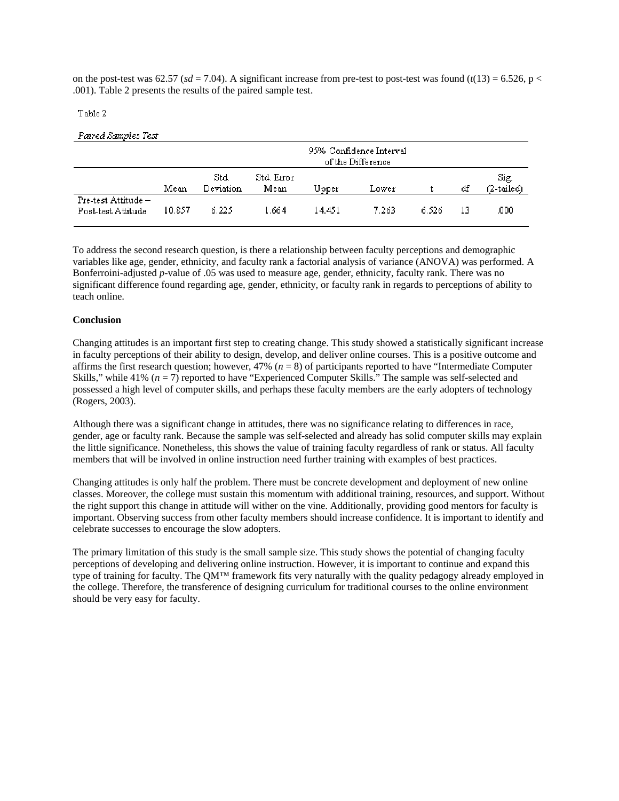on the post-test was 62.57 ( $sd = 7.04$ ). A significant increase from pre-test to post-test was found ( $t(13) = 6.526$ , p < .001). Table 2 presents the results of the paired sample test.

### Table 2

#### Paired Samples Test

|                                           |        | 95% Confidence Interval<br>of the Difference |                    |        |       |       |    |                    |  |  |
|-------------------------------------------|--------|----------------------------------------------|--------------------|--------|-------|-------|----|--------------------|--|--|
|                                           | Mean   | Std.<br>Deviation                            | Std. Error<br>Mean | Upper  | Lower |       | df | Sig.<br>(2-tailed) |  |  |
| Pre-test Attitude -<br>Post-test Attitude | 10.857 | 6.225                                        | 1.664              | 14.451 | 7.263 | 6.526 | 13 | .000               |  |  |

To address the second research question, is there a relationship between faculty perceptions and demographic variables like age, gender, ethnicity, and faculty rank a factorial analysis of variance (ANOVA) was performed. A Bonferroini-adjusted *p*-value of .05 was used to measure age, gender, ethnicity, faculty rank. There was no significant difference found regarding age, gender, ethnicity, or faculty rank in regards to perceptions of ability to teach online.

### **Conclusion**

Changing attitudes is an important first step to creating change. This study showed a statistically significant increase in faculty perceptions of their ability to design, develop, and deliver online courses. This is a positive outcome and affirms the first research question; however, 47% (*n* = 8) of participants reported to have "Intermediate Computer Skills," while 41% ( $n = 7$ ) reported to have "Experienced Computer Skills." The sample was self-selected and possessed a high level of computer skills, and perhaps these faculty members are the early adopters of technology (Rogers, 2003).

Although there was a significant change in attitudes, there was no significance relating to differences in race, gender, age or faculty rank. Because the sample was self-selected and already has solid computer skills may explain the little significance. Nonetheless, this shows the value of training faculty regardless of rank or status. All faculty members that will be involved in online instruction need further training with examples of best practices.

Changing attitudes is only half the problem. There must be concrete development and deployment of new online classes. Moreover, the college must sustain this momentum with additional training, resources, and support. Without the right support this change in attitude will wither on the vine. Additionally, providing good mentors for faculty is important. Observing success from other faculty members should increase confidence. It is important to identify and celebrate successes to encourage the slow adopters.

The primary limitation of this study is the small sample size. This study shows the potential of changing faculty perceptions of developing and delivering online instruction. However, it is important to continue and expand this type of training for faculty. The QM™ framework fits very naturally with the quality pedagogy already employed in the college. Therefore, the transference of designing curriculum for traditional courses to the online environment should be very easy for faculty.